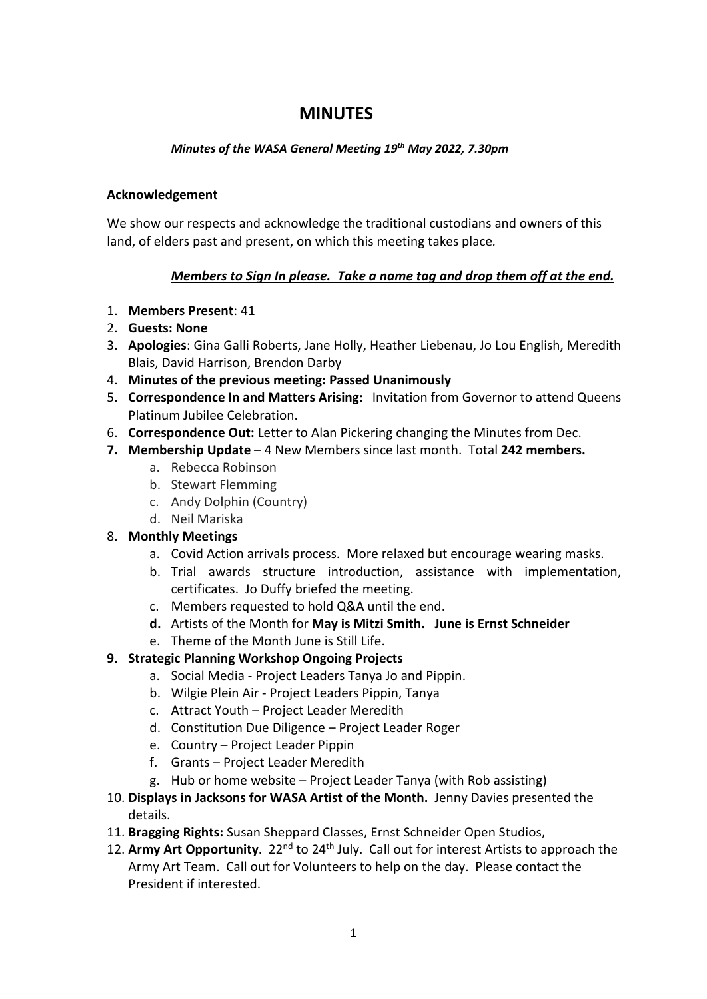# **MINUTES**

## *Minutes of the WASA General Meeting 19th May 2022, 7.30pm*

#### **Acknowledgement**

We show our respects and acknowledge the traditional custodians and owners of this land, of elders past and present, on which this meeting takes place*.* 

## *Members to Sign In please. Take a name tag and drop them off at the end.*

- 1. **Members Present**: 41
- 2. **Guests: None**
- 3. **Apologies**: Gina Galli Roberts, Jane Holly, Heather Liebenau, Jo Lou English, Meredith Blais, David Harrison, Brendon Darby
- 4. **Minutes of the previous meeting: Passed Unanimously**
- 5. **Correspondence In and Matters Arising:** Invitation from Governor to attend Queens Platinum Jubilee Celebration.
- 6. **Correspondence Out:** Letter to Alan Pickering changing the Minutes from Dec.
- **7. Membership Update** 4 New Members since last month. Total **242 members.** 
	- a. Rebecca Robinson
	- b. Stewart Flemming
	- c. Andy Dolphin (Country)
	- d. Neil Mariska

#### 8. **Monthly Meetings**

- a. Covid Action arrivals process. More relaxed but encourage wearing masks.
- b. Trial awards structure introduction, assistance with implementation, certificates. Jo Duffy briefed the meeting.
- c. Members requested to hold Q&A until the end.
- **d.** Artists of the Month for **May is Mitzi Smith. June is Ernst Schneider**
- e. Theme of the Month June is Still Life.

## **9. Strategic Planning Workshop Ongoing Projects**

- a. Social Media Project Leaders Tanya Jo and Pippin.
- b. Wilgie Plein Air Project Leaders Pippin, Tanya
- c. Attract Youth Project Leader Meredith
- d. Constitution Due Diligence Project Leader Roger
- e. Country Project Leader Pippin
- f. Grants Project Leader Meredith
- g. Hub or home website Project Leader Tanya (with Rob assisting)
- 10. **Displays in Jacksons for WASA Artist of the Month.** Jenny Davies presented the details.
- 11. **Bragging Rights:** Susan Sheppard Classes, Ernst Schneider Open Studios,
- 12. Army Art Opportunity. 22<sup>nd</sup> to 24<sup>th</sup> July. Call out for interest Artists to approach the Army Art Team. Call out for Volunteers to help on the day. Please contact the President if interested.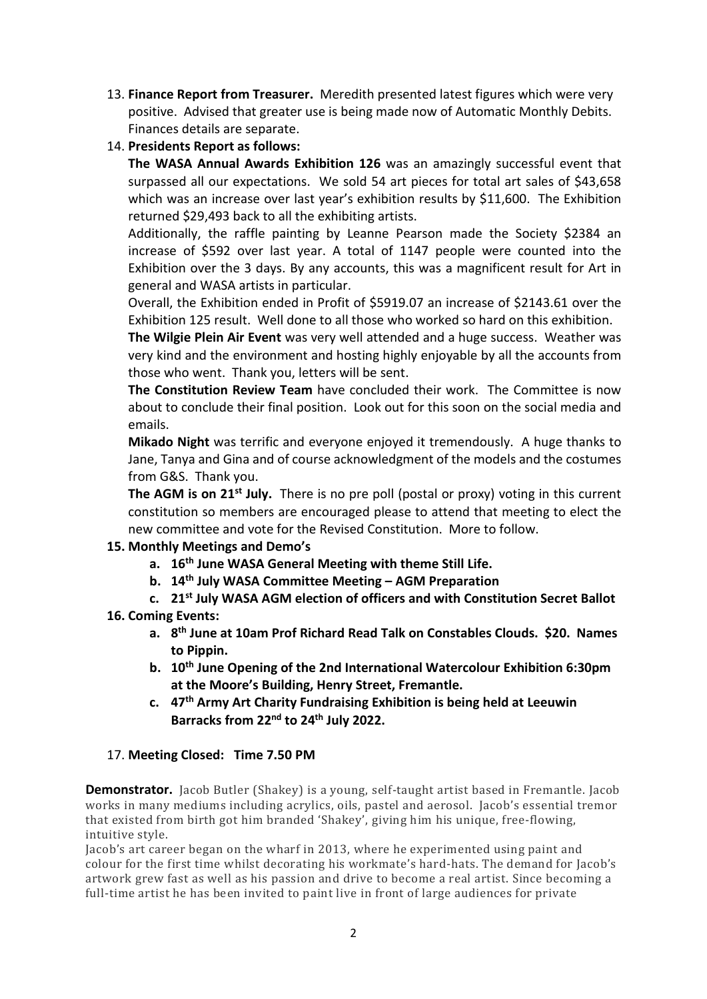- 13. **Finance Report from Treasurer.** Meredith presented latest figures which were very positive. Advised that greater use is being made now of Automatic Monthly Debits. Finances details are separate.
- 14. **Presidents Report as follows:**

**The WASA Annual Awards Exhibition 126** was an amazingly successful event that surpassed all our expectations. We sold 54 art pieces for total art sales of \$43,658 which was an increase over last year's exhibition results by \$11,600. The Exhibition returned \$29,493 back to all the exhibiting artists.

Additionally, the raffle painting by Leanne Pearson made the Society \$2384 an increase of \$592 over last year. A total of 1147 people were counted into the Exhibition over the 3 days. By any accounts, this was a magnificent result for Art in general and WASA artists in particular.

Overall, the Exhibition ended in Profit of \$5919.07 an increase of \$2143.61 over the Exhibition 125 result. Well done to all those who worked so hard on this exhibition.

**The Wilgie Plein Air Event** was very well attended and a huge success. Weather was very kind and the environment and hosting highly enjoyable by all the accounts from those who went. Thank you, letters will be sent.

**The Constitution Review Team** have concluded their work. The Committee is now about to conclude their final position. Look out for this soon on the social media and emails.

**Mikado Night** was terrific and everyone enjoyed it tremendously. A huge thanks to Jane, Tanya and Gina and of course acknowledgment of the models and the costumes from G&S. Thank you.

**The AGM is on 21st July.** There is no pre poll (postal or proxy) voting in this current constitution so members are encouraged please to attend that meeting to elect the new committee and vote for the Revised Constitution. More to follow.

#### **15. Monthly Meetings and Demo's**

- **a. 16th June WASA General Meeting with theme Still Life.**
- **b. 14th July WASA Committee Meeting AGM Preparation**
- **c. 21st July WASA AGM election of officers and with Constitution Secret Ballot**
- **16. Coming Events:** 
	- **a. 8th June at 10am Prof Richard Read Talk on Constables Clouds. \$20. Names to Pippin.**
	- **b. 10th June Opening of the 2nd International Watercolour Exhibition 6:30pm at the Moore's Building, Henry Street, Fremantle.**
	- **c. 47th Army Art Charity Fundraising Exhibition is being held at Leeuwin Barracks from 22nd to 24th July 2022.**

#### 17. **Meeting Closed: Time 7.50 PM**

**Demonstrator.** Jacob Butler (Shakey) is a young, self-taught artist based in Fremantle. Jacob works in many mediums including acrylics, oils, pastel and aerosol. Jacob's essential tremor that existed from birth got him branded 'Shakey', giving him his unique, free-flowing, intuitive style.

Jacob's art career began on the wharf in 2013, where he experimented using paint and colour for the first time whilst decorating his workmate's hard-hats. The demand for Jacob's artwork grew fast as well as his passion and drive to become a real artist. Since becoming a full-time artist he has been invited to paint live in front of large audiences for private